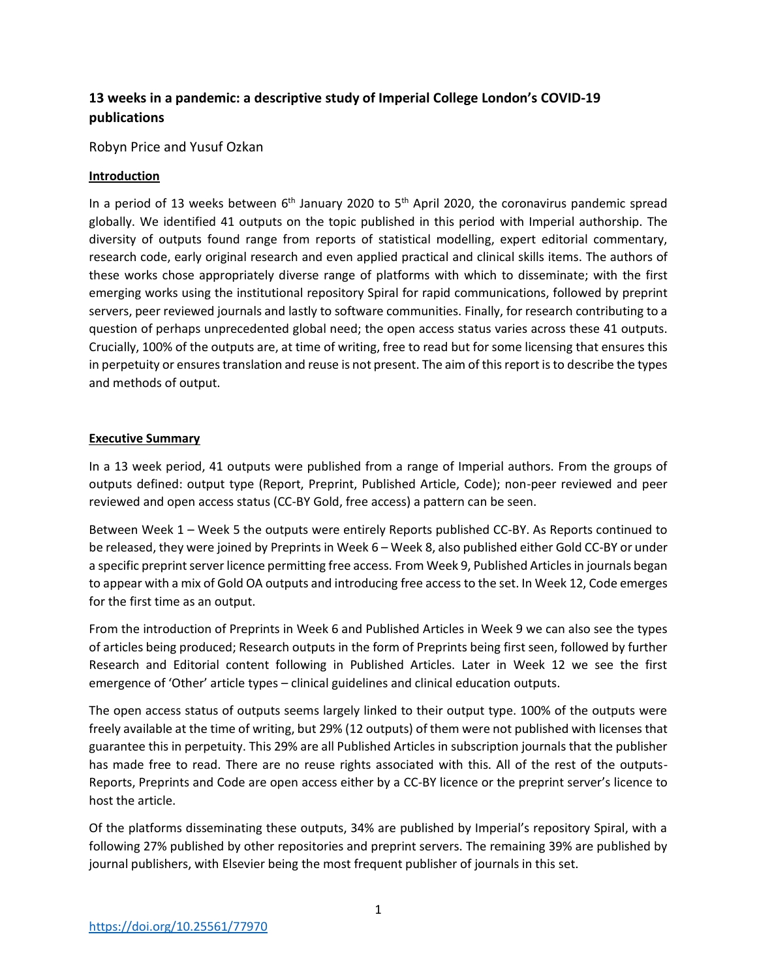# **13 weeks in a pandemic: a descriptive study of Imperial College London's COVID-19 publications**

Robyn Price and Yusuf Ozkan

#### **Introduction**

In a period of 13 weeks between  $6<sup>th</sup>$  January 2020 to  $5<sup>th</sup>$  April 2020, the coronavirus pandemic spread globally. We identified 41 outputs on the topic published in this period with Imperial authorship. The diversity of outputs found range from reports of statistical modelling, expert editorial commentary, research code, early original research and even applied practical and clinical skills items. The authors of these works chose appropriately diverse range of platforms with which to disseminate; with the first emerging works using the institutional repository Spiral for rapid communications, followed by preprint servers, peer reviewed journals and lastly to software communities. Finally, for research contributing to a question of perhaps unprecedented global need; the open access status varies across these 41 outputs. Crucially, 100% of the outputs are, at time of writing, free to read but for some licensing that ensures this in perpetuity or ensures translation and reuse is not present. The aim of this report is to describe the types and methods of output.

#### **Executive Summary**

In a 13 week period, 41 outputs were published from a range of Imperial authors. From the groups of outputs defined: output type (Report, Preprint, Published Article, Code); non-peer reviewed and peer reviewed and open access status (CC-BY Gold, free access) a pattern can be seen.

Between Week 1 – Week 5 the outputs were entirely Reports published CC-BY. As Reports continued to be released, they were joined by Preprints in Week 6 – Week 8, also published either Gold CC-BY or under a specific preprint server licence permitting free access. From Week 9, Published Articles in journals began to appear with a mix of Gold OA outputs and introducing free access to the set. In Week 12, Code emerges for the first time as an output.

From the introduction of Preprints in Week 6 and Published Articles in Week 9 we can also see the types of articles being produced; Research outputs in the form of Preprints being first seen, followed by further Research and Editorial content following in Published Articles. Later in Week 12 we see the first emergence of 'Other' article types – clinical guidelines and clinical education outputs.

The open access status of outputs seems largely linked to their output type. 100% of the outputs were freely available at the time of writing, but 29% (12 outputs) of them were not published with licenses that guarantee this in perpetuity. This 29% are all Published Articles in subscription journals that the publisher has made free to read. There are no reuse rights associated with this. All of the rest of the outputs-Reports, Preprints and Code are open access either by a CC-BY licence or the preprint server's licence to host the article.

Of the platforms disseminating these outputs, 34% are published by Imperial's repository Spiral, with a following 27% published by other repositories and preprint servers. The remaining 39% are published by journal publishers, with Elsevier being the most frequent publisher of journals in this set.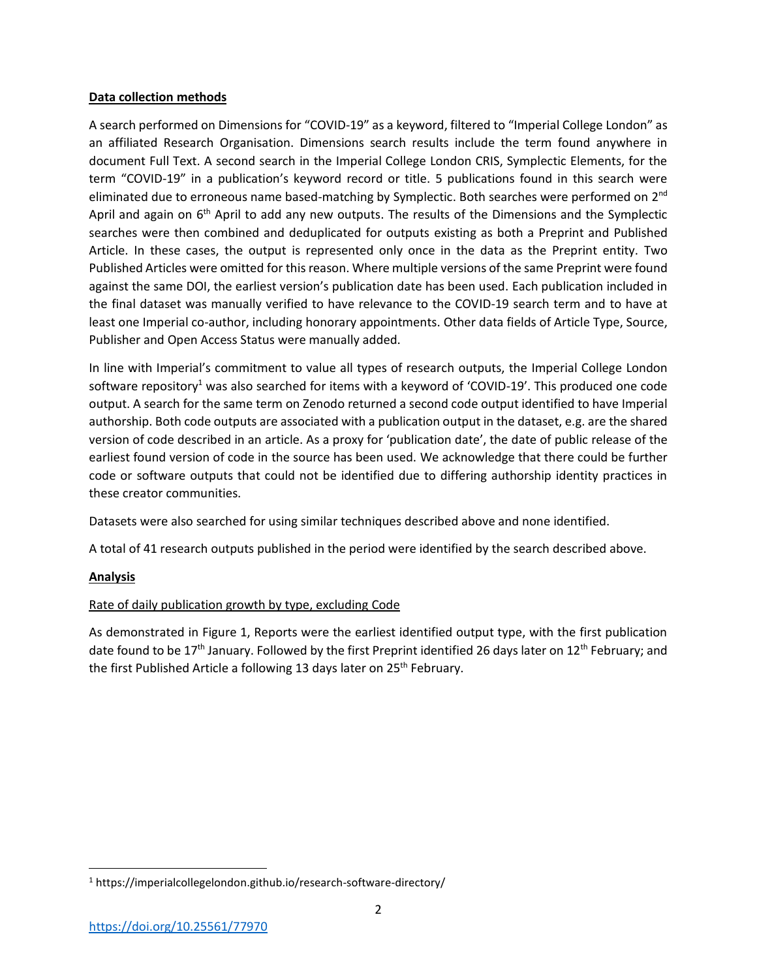#### **Data collection methods**

A search performed on Dimensions for "COVID-19" as a keyword, filtered to "Imperial College London" as an affiliated Research Organisation. Dimensions search results include the term found anywhere in document Full Text. A second search in the Imperial College London CRIS, Symplectic Elements, for the term "COVID-19" in a publication's keyword record or title. 5 publications found in this search were eliminated due to erroneous name based-matching by Symplectic. Both searches were performed on 2<sup>nd</sup> April and again on  $6<sup>th</sup>$  April to add any new outputs. The results of the Dimensions and the Symplectic searches were then combined and deduplicated for outputs existing as both a Preprint and Published Article. In these cases, the output is represented only once in the data as the Preprint entity. Two Published Articles were omitted for this reason. Where multiple versions of the same Preprint were found against the same DOI, the earliest version's publication date has been used. Each publication included in the final dataset was manually verified to have relevance to the COVID-19 search term and to have at least one Imperial co-author, including honorary appointments. Other data fields of Article Type, Source, Publisher and Open Access Status were manually added.

In line with Imperial's commitment to value all types of research outputs, the Imperial College London software repository<sup>1</sup> was also searched for items with a keyword of 'COVID-19'. This produced one code output. A search for the same term on Zenodo returned a second code output identified to have Imperial authorship. Both code outputs are associated with a publication output in the dataset, e.g. are the shared version of code described in an article. As a proxy for 'publication date', the date of public release of the earliest found version of code in the source has been used. We acknowledge that there could be further code or software outputs that could not be identified due to differing authorship identity practices in these creator communities.

Datasets were also searched for using similar techniques described above and none identified.

A total of 41 research outputs published in the period were identified by the search described above.

## **Analysis**

 $\overline{\phantom{a}}$ 

## Rate of daily publication growth by type, excluding Code

As demonstrated in Figure 1, Reports were the earliest identified output type, with the first publication date found to be 17<sup>th</sup> January. Followed by the first Preprint identified 26 days later on 12<sup>th</sup> February; and the first Published Article a following 13 days later on 25<sup>th</sup> February.

<sup>1</sup> https://imperialcollegelondon.github.io/research-software-directory/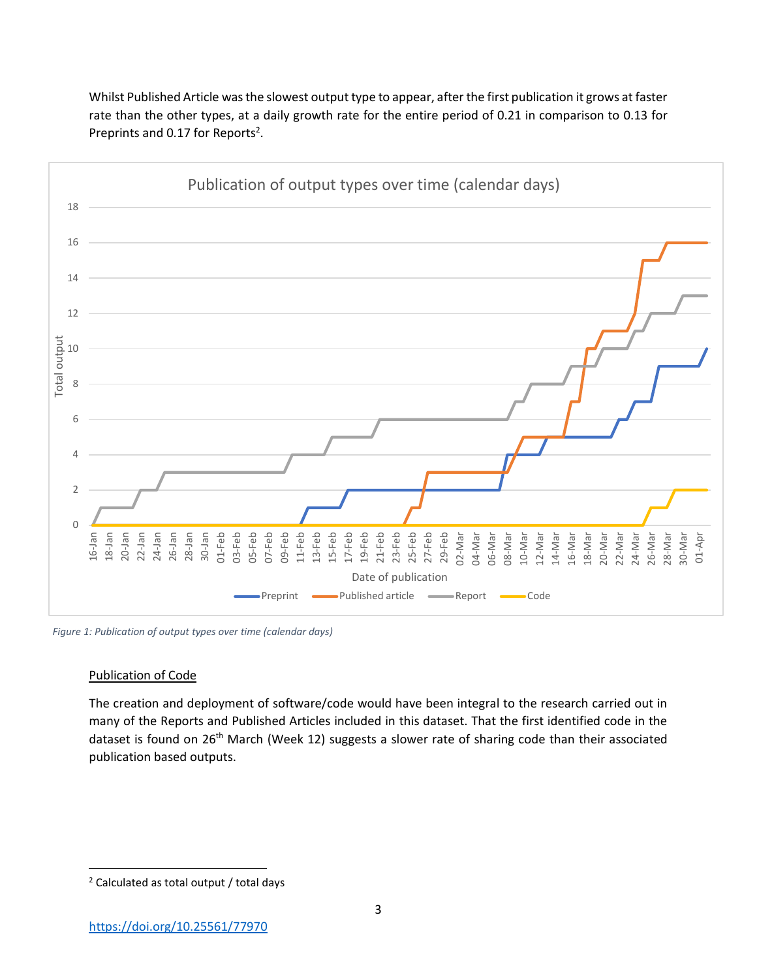

Whilst Published Article was the slowest output type to appear, after the first publication it grows at faster rate than the other types, at a daily growth rate for the entire period of 0.21 in comparison to 0.13 for Preprints and 0.17 for Reports<sup>2</sup>.

*Figure 1: Publication of output types over time (calendar days)*

#### Publication of Code

 $\overline{\phantom{a}}$ 

The creation and deployment of software/code would have been integral to the research carried out in many of the Reports and Published Articles included in this dataset. That the first identified code in the dataset is found on 26<sup>th</sup> March (Week 12) suggests a slower rate of sharing code than their associated publication based outputs.

<sup>2</sup> Calculated as total output / total days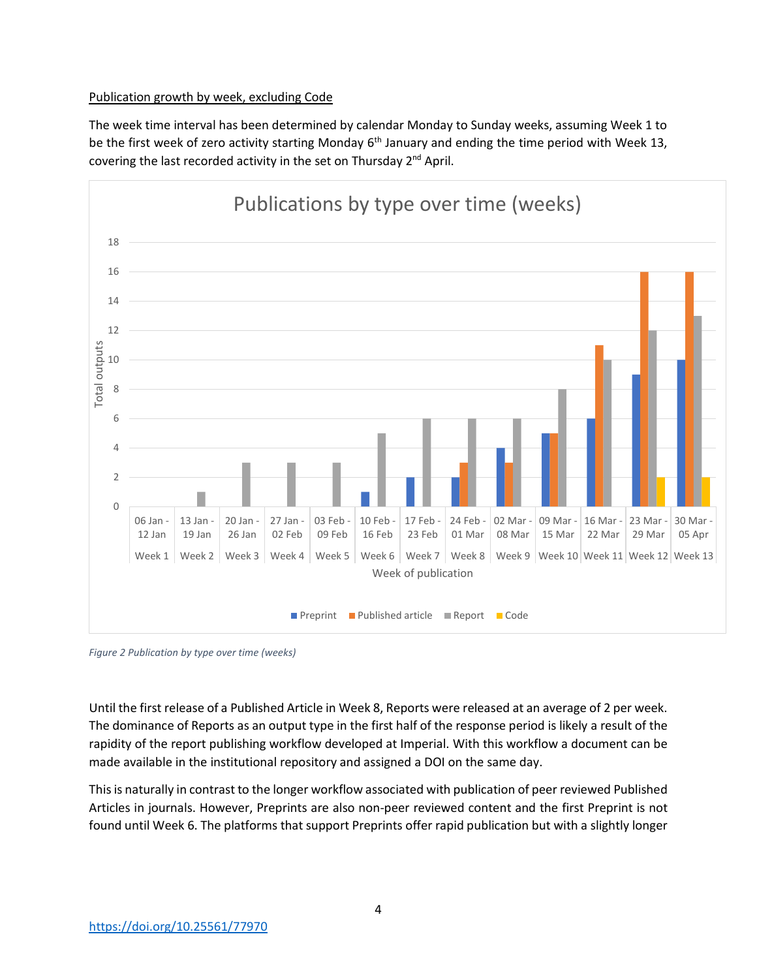#### Publication growth by week, excluding Code

The week time interval has been determined by calendar Monday to Sunday weeks, assuming Week 1 to be the first week of zero activity starting Monday 6<sup>th</sup> January and ending the time period with Week 13, covering the last recorded activity in the set on Thursday 2<sup>nd</sup> April.



*Figure 2 Publication by type over time (weeks)*

Until the first release of a Published Article in Week 8, Reports were released at an average of 2 per week. The dominance of Reports as an output type in the first half of the response period is likely a result of the rapidity of the report publishing workflow developed at Imperial. With this workflow a document can be made available in the institutional repository and assigned a DOI on the same day.

This is naturally in contrast to the longer workflow associated with publication of peer reviewed Published Articles in journals. However, Preprints are also non-peer reviewed content and the first Preprint is not found until Week 6. The platforms that support Preprints offer rapid publication but with a slightly longer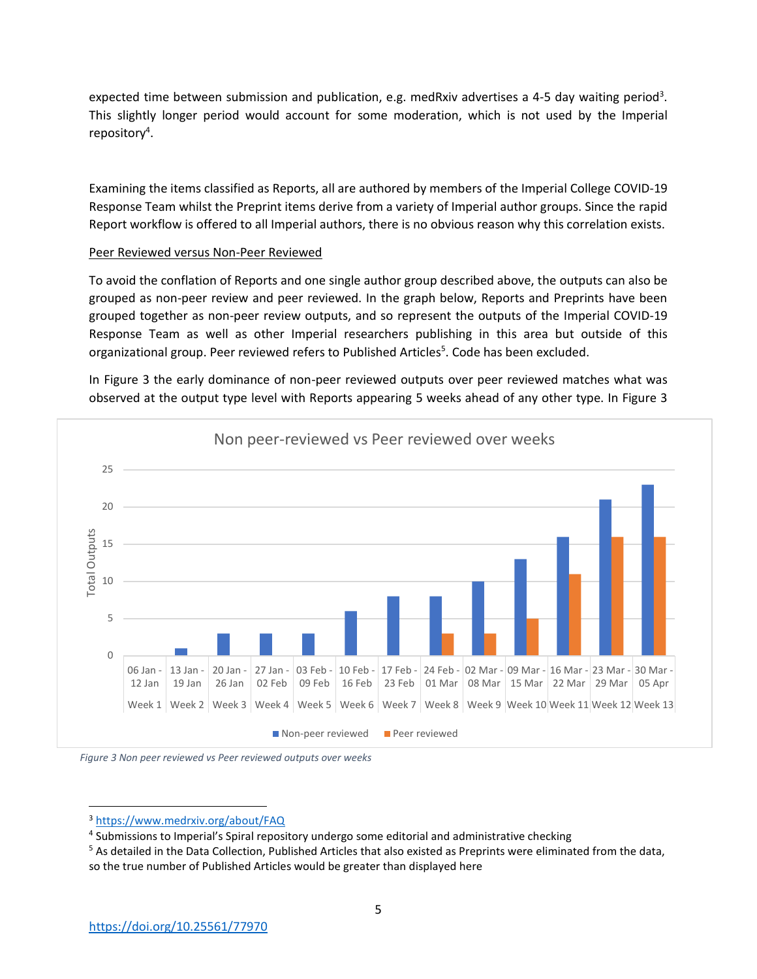expected time between submission and publication, e.g. medRxiv advertises a 4-5 day waiting period<sup>3</sup>. This slightly longer period would account for some moderation, which is not used by the Imperial repository<sup>4</sup>.

Examining the items classified as Reports, all are authored by members of the Imperial College COVID-19 Response Team whilst the Preprint items derive from a variety of Imperial author groups. Since the rapid Report workflow is offered to all Imperial authors, there is no obvious reason why this correlation exists.

#### Peer Reviewed versus Non-Peer Reviewed

To avoid the conflation of Reports and one single author group described above, the outputs can also be grouped as non-peer review and peer reviewed. In the graph below, Reports and Preprints have been grouped together as non-peer review outputs, and so represent the outputs of the Imperial COVID-19 Response Team as well as other Imperial researchers publishing in this area but outside of this organizational group. Peer reviewed refers to Published Articles<sup>5</sup>. Code has been excluded.

In Figure 3 the early dominance of non-peer reviewed outputs over peer reviewed matches what was observed at the output type level with Reports appearing 5 weeks ahead of any other type. In Figure 3





<sup>3</sup> <https://www.medrxiv.org/about/FAQ>

 $\overline{a}$ 

<sup>&</sup>lt;sup>4</sup> Submissions to Imperial's Spiral repository undergo some editorial and administrative checking

<sup>&</sup>lt;sup>5</sup> As detailed in the Data Collection, Published Articles that also existed as Preprints were eliminated from the data, so the true number of Published Articles would be greater than displayed here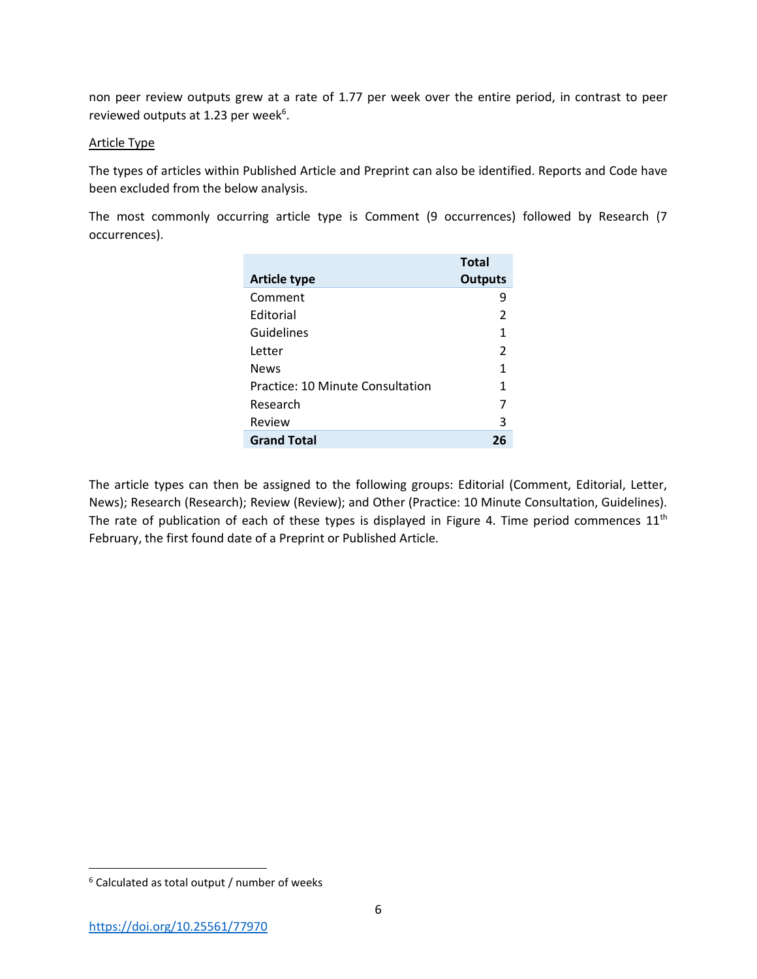non peer review outputs grew at a rate of 1.77 per week over the entire period, in contrast to peer reviewed outputs at 1.23 per week<sup>6</sup>.

#### Article Type

The types of articles within Published Article and Preprint can also be identified. Reports and Code have been excluded from the below analysis.

The most commonly occurring article type is Comment (9 occurrences) followed by Research (7 occurrences).

|                                  | <b>Total</b>   |
|----------------------------------|----------------|
| <b>Article type</b>              | Outputs        |
| Comment                          | 9              |
| <b>Editorial</b>                 | $\overline{2}$ |
| Guidelines                       | 1              |
| Letter                           | 2              |
| <b>News</b>                      | 1              |
| Practice: 10 Minute Consultation | 1              |
| Research                         | 7              |
| Review                           | 3              |
| <b>Grand Total</b>               | 26             |

The article types can then be assigned to the following groups: Editorial (Comment, Editorial, Letter, News); Research (Research); Review (Review); and Other (Practice: 10 Minute Consultation, Guidelines). The rate of publication of each of these types is displayed in Figure 4. Time period commences  $11<sup>th</sup>$ February, the first found date of a Preprint or Published Article.

 $\overline{\phantom{a}}$ 

<sup>6</sup> Calculated as total output / number of weeks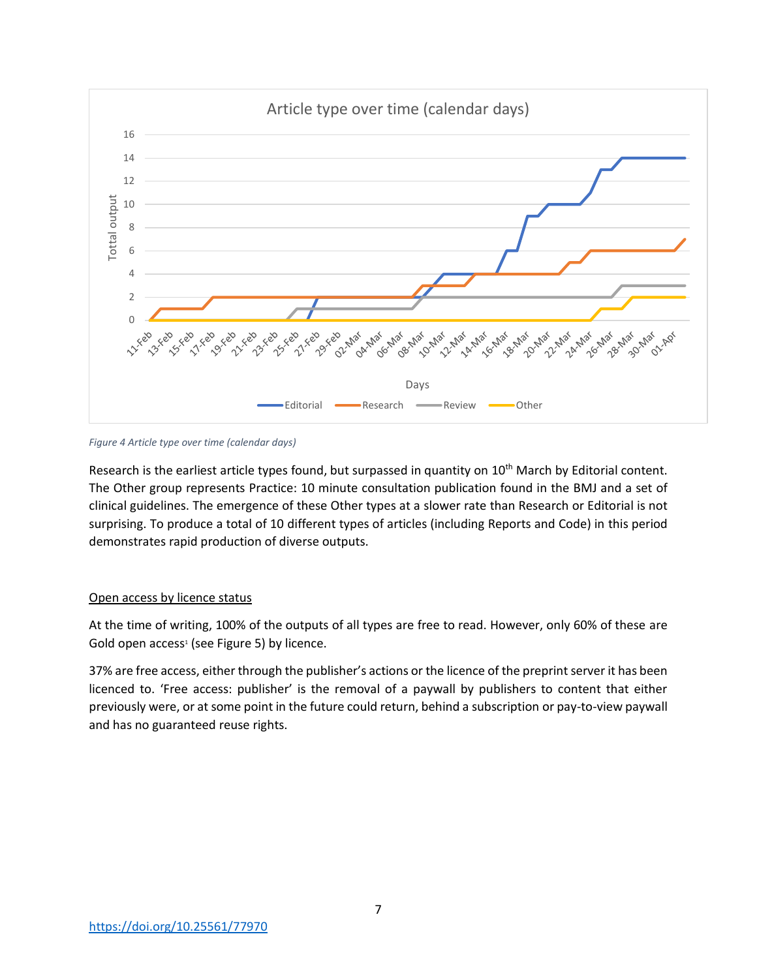

*Figure 4 Article type over time (calendar days)*

Research is the earliest article types found, but surpassed in quantity on 10<sup>th</sup> March by Editorial content. The Other group represents Practice: 10 minute consultation publication found in the BMJ and a set of clinical guidelines. The emergence of these Other types at a slower rate than Research or Editorial is not surprising. To produce a total of 10 different types of articles (including Reports and Code) in this period demonstrates rapid production of diverse outputs.

## Open access by licence status

At the time of writing, 100% of the outputs of all types are free to read. However, only 60% of these are Gold open access<sup>1</sup> (see Figure 5) by licence.

37% are free access, either through the publisher's actions or the licence of the preprint server it has been licenced to. 'Free access: publisher' is the removal of a paywall by publishers to content that either previously were, or at some point in the future could return, behind a subscription or pay-to-view paywall and has no guaranteed reuse rights.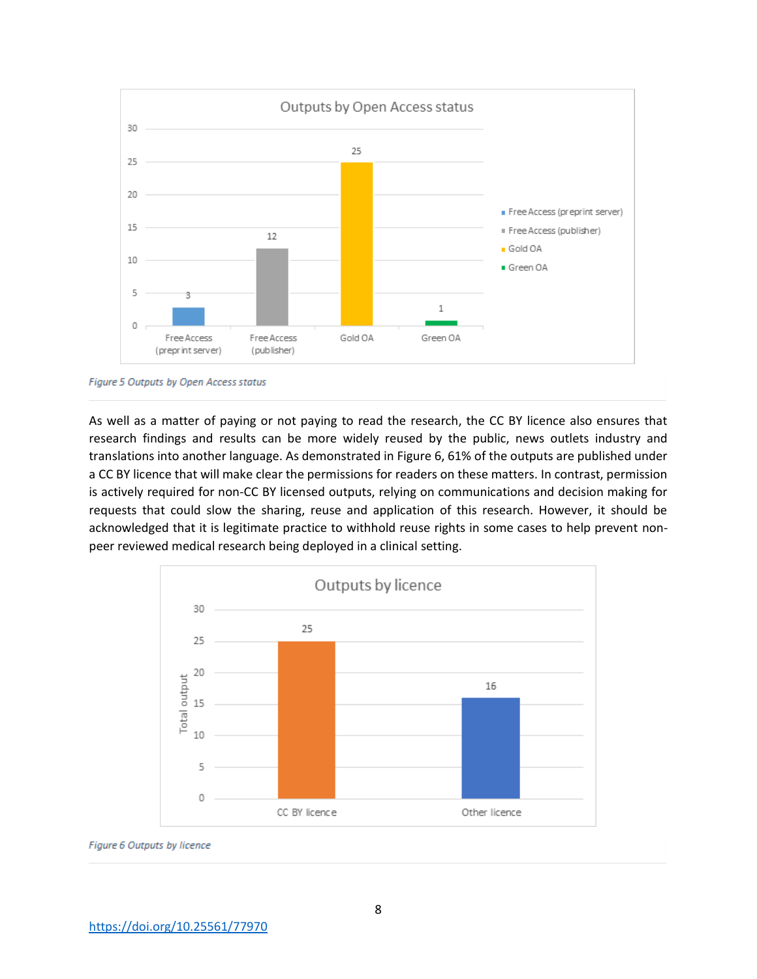

Figure 5 Outputs by Open Access status

As well as a matter of paying or not paying to read the research, the CC BY licence also ensures that research findings and results can be more widely reused by the public, news outlets industry and translations into another language. As demonstrated in Figure 6, 61% of the outputs are published under a CC BY licence that will make clear the permissions for readers on these matters. In contrast, permission is actively required for non-CC BY licensed outputs, relying on communications and decision making for requests that could slow the sharing, reuse and application of this research. However, it should be acknowledged that it is legitimate practice to withhold reuse rights in some cases to help prevent nonpeer reviewed medical research being deployed in a clinical setting.



Figure 6 Outputs by licence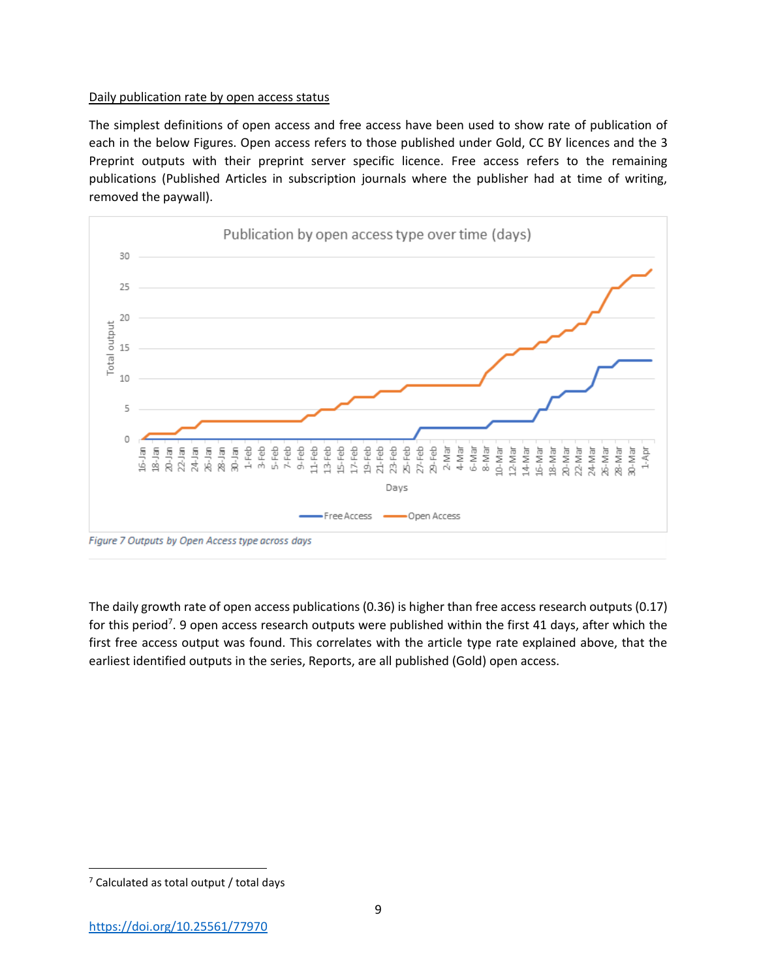#### Daily publication rate by open access status

The simplest definitions of open access and free access have been used to show rate of publication of each in the below Figures. Open access refers to those published under Gold, CC BY licences and the 3 Preprint outputs with their preprint server specific licence. Free access refers to the remaining publications (Published Articles in subscription journals where the publisher had at time of writing, removed the paywall).



Figure 7 Outputs by Open Access type across days

The daily growth rate of open access publications (0.36) is higher than free access research outputs (0.17) for this period<sup>7</sup>. 9 open access research outputs were published within the first 41 days, after which the first free access output was found. This correlates with the article type rate explained above, that the earliest identified outputs in the series, Reports, are all published (Gold) open access.

 $\overline{\phantom{a}}$ 

 $<sup>7</sup>$  Calculated as total output / total days</sup>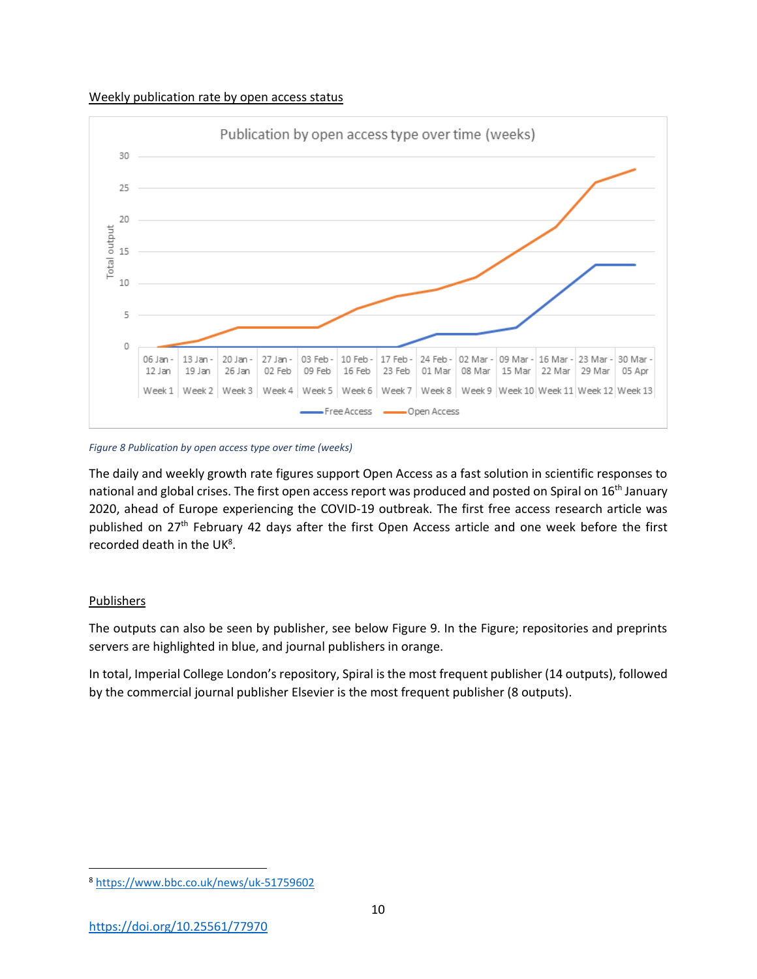Weekly publication rate by open access status



*Figure 8 Publication by open access type over time (weeks)*

The daily and weekly growth rate figures support Open Access as a fast solution in scientific responses to national and global crises. The first open access report was produced and posted on Spiral on 16th January 2020, ahead of Europe experiencing the COVID-19 outbreak. The first free access research article was published on 27<sup>th</sup> February 42 days after the first Open Access article and one week before the first recorded death in the UK<sup>8</sup>.

## Publishers

The outputs can also be seen by publisher, see below Figure 9. In the Figure; repositories and preprints servers are highlighted in blue, and journal publishers in orange.

In total, Imperial College London's repository, Spiral is the most frequent publisher (14 outputs), followed by the commercial journal publisher Elsevier is the most frequent publisher (8 outputs).

 $\overline{\phantom{a}}$ <sup>8</sup> <https://www.bbc.co.uk/news/uk-51759602>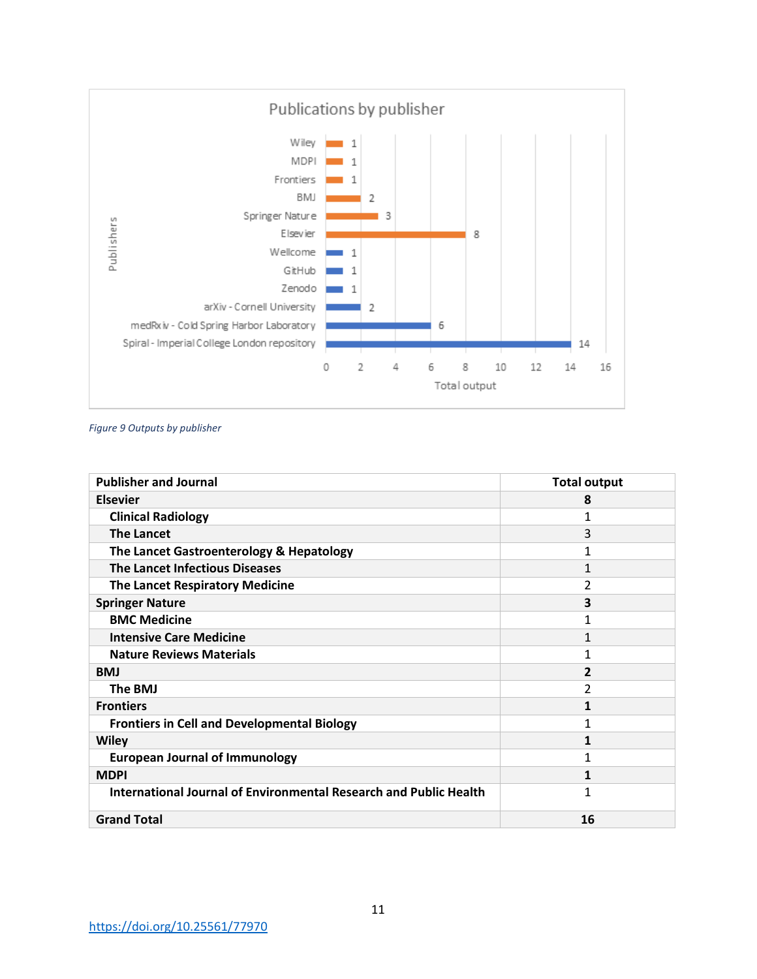

*Figure 9 Outputs by publisher*

| <b>Publisher and Journal</b>                                      | <b>Total output</b>     |
|-------------------------------------------------------------------|-------------------------|
| <b>Elsevier</b>                                                   | 8                       |
| <b>Clinical Radiology</b>                                         | 1                       |
| <b>The Lancet</b>                                                 | 3                       |
| The Lancet Gastroenterology & Hepatology                          | 1                       |
| <b>The Lancet Infectious Diseases</b>                             | 1                       |
| <b>The Lancet Respiratory Medicine</b>                            | 2                       |
| <b>Springer Nature</b>                                            | $\overline{\mathbf{3}}$ |
| <b>BMC Medicine</b>                                               | 1                       |
| <b>Intensive Care Medicine</b>                                    | 1                       |
| <b>Nature Reviews Materials</b>                                   | 1                       |
| <b>BMJ</b>                                                        | 2                       |
| The BMJ                                                           | 2                       |
| <b>Frontiers</b>                                                  | 1                       |
| <b>Frontiers in Cell and Developmental Biology</b>                | 1                       |
| <b>Wiley</b>                                                      | 1                       |
| <b>European Journal of Immunology</b>                             | 1                       |
| <b>MDPI</b>                                                       | 1                       |
| International Journal of Environmental Research and Public Health | 1                       |
| <b>Grand Total</b>                                                | 16                      |